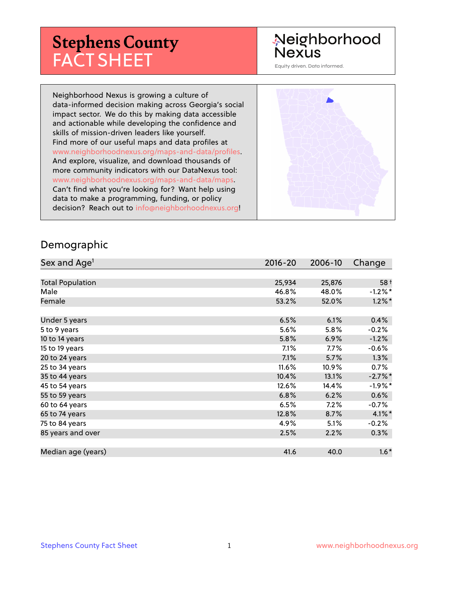# **Stephens County** FACT SHEET

# Neighborhood **Nexus**

Equity driven. Data informed.

Neighborhood Nexus is growing a culture of data-informed decision making across Georgia's social impact sector. We do this by making data accessible and actionable while developing the confidence and skills of mission-driven leaders like yourself. Find more of our useful maps and data profiles at www.neighborhoodnexus.org/maps-and-data/profiles. And explore, visualize, and download thousands of more community indicators with our DataNexus tool: www.neighborhoodnexus.org/maps-and-data/maps. Can't find what you're looking for? Want help using data to make a programming, funding, or policy decision? Reach out to [info@neighborhoodnexus.org!](mailto:info@neighborhoodnexus.org)



#### Demographic

| Sex and Age <sup>1</sup> | $2016 - 20$ | 2006-10 | Change     |
|--------------------------|-------------|---------|------------|
|                          |             |         |            |
| <b>Total Population</b>  | 25,934      | 25,876  | $58+$      |
| Male                     | 46.8%       | 48.0%   | $-1.2\%$ * |
| Female                   | 53.2%       | 52.0%   | $1.2\%$ *  |
|                          |             |         |            |
| Under 5 years            | 6.5%        | 6.1%    | 0.4%       |
| 5 to 9 years             | 5.6%        | 5.8%    | $-0.2%$    |
| 10 to 14 years           | 5.8%        | 6.9%    | $-1.2%$    |
| 15 to 19 years           | 7.1%        | 7.7%    | $-0.6%$    |
| 20 to 24 years           | 7.1%        | 5.7%    | 1.3%       |
| 25 to 34 years           | 11.6%       | 10.9%   | 0.7%       |
| 35 to 44 years           | 10.4%       | 13.1%   | $-2.7%$ *  |
| 45 to 54 years           | 12.6%       | 14.4%   | $-1.9%$ *  |
| 55 to 59 years           | 6.8%        | 6.2%    | 0.6%       |
| 60 to 64 years           | 6.5%        | 7.2%    | $-0.7%$    |
| 65 to 74 years           | 12.8%       | 8.7%    | $4.1\%$ *  |
| 75 to 84 years           | 4.9%        | 5.1%    | $-0.2%$    |
| 85 years and over        | 2.5%        | 2.2%    | $0.3\%$    |
|                          |             |         |            |
| Median age (years)       | 41.6        | 40.0    | $1.6*$     |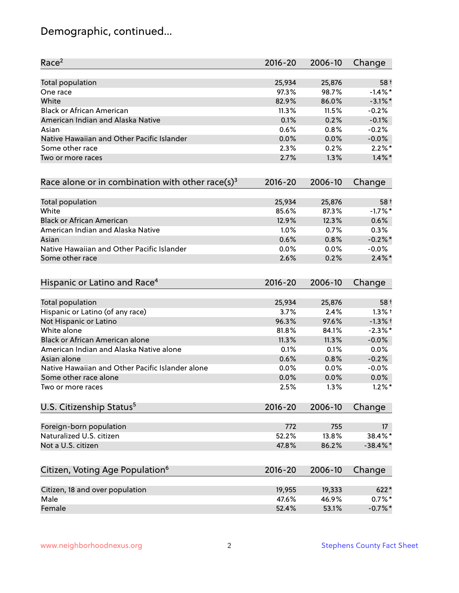# Demographic, continued...

| Race <sup>2</sup>                                            | $2016 - 20$ | 2006-10 | Change          |
|--------------------------------------------------------------|-------------|---------|-----------------|
| <b>Total population</b>                                      | 25,934      | 25,876  | $58+$           |
| One race                                                     | 97.3%       | 98.7%   | $-1.4\%$ *      |
| White                                                        | 82.9%       | 86.0%   | $-3.1\%$ *      |
| <b>Black or African American</b>                             | 11.3%       | 11.5%   | $-0.2%$         |
| American Indian and Alaska Native                            | 0.1%        | 0.2%    | $-0.1%$         |
| Asian                                                        | 0.6%        | 0.8%    | $-0.2%$         |
| Native Hawaiian and Other Pacific Islander                   | 0.0%        | 0.0%    | $-0.0%$         |
| Some other race                                              | 2.3%        | 0.2%    | $2.2\%$ *       |
| Two or more races                                            | 2.7%        | 1.3%    | $1.4\%$ *       |
| Race alone or in combination with other race(s) <sup>3</sup> | $2016 - 20$ | 2006-10 | Change          |
| Total population                                             | 25,934      | 25,876  | $58+$           |
| White                                                        | 85.6%       | 87.3%   | $-1.7%$ *       |
| <b>Black or African American</b>                             | 12.9%       | 12.3%   | 0.6%            |
| American Indian and Alaska Native                            | 1.0%        | 0.7%    | 0.3%            |
| Asian                                                        | 0.6%        | 0.8%    | $-0.2%$ *       |
| Native Hawaiian and Other Pacific Islander                   | 0.0%        | 0.0%    | $-0.0%$         |
| Some other race                                              | 2.6%        | 0.2%    | $2.4\%$ *       |
| Hispanic or Latino and Race <sup>4</sup>                     | $2016 - 20$ | 2006-10 | Change          |
| Total population                                             | 25,934      | 25,876  | $58+$           |
| Hispanic or Latino (of any race)                             | 3.7%        | 2.4%    | $1.3%$ †        |
| Not Hispanic or Latino                                       | 96.3%       | 97.6%   | $-1.3%$ †       |
| White alone                                                  | 81.8%       | 84.1%   | $-2.3\%$ *      |
| Black or African American alone                              | 11.3%       | 11.3%   | $-0.0%$         |
| American Indian and Alaska Native alone                      | 0.1%        | 0.1%    | 0.0%            |
| Asian alone                                                  | 0.6%        | 0.8%    | $-0.2%$         |
| Native Hawaiian and Other Pacific Islander alone             | 0.0%        | 0.0%    | $-0.0%$         |
| Some other race alone                                        | 0.0%        | 0.0%    | 0.0%            |
| Two or more races                                            | 2.5%        | 1.3%    | $1.2\%$ *       |
| U.S. Citizenship Status <sup>5</sup>                         | $2016 - 20$ | 2006-10 | Change          |
| Foreign-born population                                      | 772         | 755     | 17 <sup>2</sup> |
| Naturalized U.S. citizen                                     | 52.2%       | 13.8%   | 38.4%*          |
| Not a U.S. citizen                                           | 47.8%       | 86.2%   | $-38.4\%$ *     |
| Citizen, Voting Age Population <sup>6</sup>                  | $2016 - 20$ | 2006-10 | Change          |
|                                                              |             |         |                 |
| Citizen, 18 and over population                              | 19,955      | 19,333  | 622*            |
| Male                                                         | 47.6%       | 46.9%   | $0.7\%$ *       |
| Female                                                       | 52.4%       | 53.1%   | $-0.7%$ *       |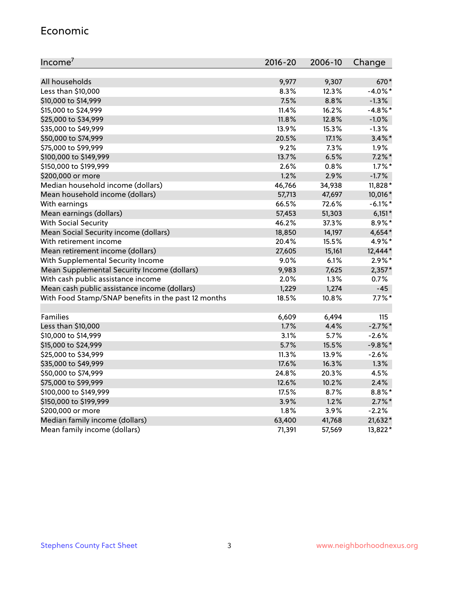#### Economic

| Income <sup>7</sup>                                 | $2016 - 20$ | 2006-10 | Change     |
|-----------------------------------------------------|-------------|---------|------------|
|                                                     |             |         |            |
| All households                                      | 9,977       | 9,307   | 670*       |
| Less than \$10,000                                  | 8.3%        | 12.3%   | $-4.0\%$ * |
| \$10,000 to \$14,999                                | 7.5%        | 8.8%    | $-1.3%$    |
| \$15,000 to \$24,999                                | 11.4%       | 16.2%   | $-4.8\%$ * |
| \$25,000 to \$34,999                                | 11.8%       | 12.8%   | $-1.0%$    |
| \$35,000 to \$49,999                                | 13.9%       | 15.3%   | $-1.3%$    |
| \$50,000 to \$74,999                                | 20.5%       | 17.1%   | $3.4\%$ *  |
| \$75,000 to \$99,999                                | 9.2%        | 7.3%    | 1.9%       |
| \$100,000 to \$149,999                              | 13.7%       | 6.5%    | $7.2\%$ *  |
| \$150,000 to \$199,999                              | 2.6%        | 0.8%    | $1.7\%$ *  |
| \$200,000 or more                                   | 1.2%        | 2.9%    | $-1.7%$    |
| Median household income (dollars)                   | 46,766      | 34,938  | 11,828*    |
| Mean household income (dollars)                     | 57,713      | 47,697  | 10,016*    |
| With earnings                                       | 66.5%       | 72.6%   | $-6.1\%$ * |
| Mean earnings (dollars)                             | 57,453      | 51,303  | $6,151*$   |
| <b>With Social Security</b>                         | 46.2%       | 37.3%   | 8.9%*      |
| Mean Social Security income (dollars)               | 18,850      | 14,197  | 4,654*     |
| With retirement income                              | 20.4%       | 15.5%   | 4.9%*      |
| Mean retirement income (dollars)                    | 27,605      | 15,161  | 12,444*    |
| With Supplemental Security Income                   | 9.0%        | $6.1\%$ | $2.9\%*$   |
| Mean Supplemental Security Income (dollars)         | 9,983       | 7,625   | $2,357*$   |
| With cash public assistance income                  | 2.0%        | 1.3%    | 0.7%       |
| Mean cash public assistance income (dollars)        | 1,229       | 1,274   | -45        |
| With Food Stamp/SNAP benefits in the past 12 months | 18.5%       | 10.8%   | $7.7\%$ *  |
|                                                     |             |         |            |
| Families                                            | 6,609       | 6,494   | 115        |
| Less than \$10,000                                  | 1.7%        | 4.4%    | $-2.7\%$ * |
| \$10,000 to \$14,999                                | 3.1%        | 5.7%    | $-2.6%$    |
| \$15,000 to \$24,999                                | 5.7%        | 15.5%   | $-9.8%$ *  |
| \$25,000 to \$34,999                                | 11.3%       | 13.9%   | $-2.6%$    |
| \$35,000 to \$49,999                                | 17.6%       | 16.3%   | 1.3%       |
| \$50,000 to \$74,999                                | 24.8%       | 20.3%   | 4.5%       |
| \$75,000 to \$99,999                                | 12.6%       | 10.2%   | 2.4%       |
| \$100,000 to \$149,999                              | 17.5%       | 8.7%    | $8.8\%$ *  |
| \$150,000 to \$199,999                              | 3.9%        | 1.2%    | $2.7\%$ *  |
| \$200,000 or more                                   | 1.8%        | 3.9%    | $-2.2%$    |
| Median family income (dollars)                      | 63,400      | 41,768  | 21,632*    |
| Mean family income (dollars)                        | 71,391      | 57,569  | 13,822*    |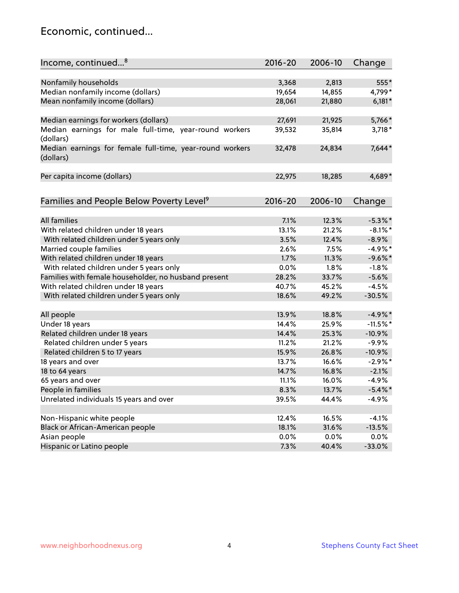### Economic, continued...

| Income, continued <sup>8</sup>                                        | $2016 - 20$ | 2006-10 | Change     |
|-----------------------------------------------------------------------|-------------|---------|------------|
|                                                                       |             |         |            |
| Nonfamily households                                                  | 3,368       | 2,813   | 555*       |
| Median nonfamily income (dollars)                                     | 19,654      | 14,855  | 4,799*     |
| Mean nonfamily income (dollars)                                       | 28,061      | 21,880  | $6,181*$   |
| Median earnings for workers (dollars)                                 | 27,691      | 21,925  | 5,766*     |
| Median earnings for male full-time, year-round workers<br>(dollars)   | 39,532      | 35,814  | $3,718*$   |
| Median earnings for female full-time, year-round workers<br>(dollars) | 32,478      | 24,834  | 7,644*     |
| Per capita income (dollars)                                           | 22,975      | 18,285  | 4,689*     |
| Families and People Below Poverty Level <sup>9</sup>                  | $2016 - 20$ | 2006-10 | Change     |
|                                                                       |             |         |            |
| <b>All families</b>                                                   | 7.1%        | 12.3%   | $-5.3\%$ * |
| With related children under 18 years                                  | 13.1%       | 21.2%   | $-8.1\%$ * |
| With related children under 5 years only                              | 3.5%        | 12.4%   | $-8.9%$    |
| Married couple families                                               | 2.6%        | 7.5%    | $-4.9%$ *  |
| With related children under 18 years                                  | 1.7%        | 11.3%   | $-9.6%$ *  |
| With related children under 5 years only                              | 0.0%        | 1.8%    | $-1.8%$    |
| Families with female householder, no husband present                  | 28.2%       | 33.7%   | $-5.6%$    |
| With related children under 18 years                                  | 40.7%       | 45.2%   | $-4.5%$    |
| With related children under 5 years only                              | 18.6%       | 49.2%   | $-30.5%$   |
| All people                                                            | 13.9%       | 18.8%   | $-4.9%$ *  |
| Under 18 years                                                        | 14.4%       | 25.9%   | $-11.5%$ * |
| Related children under 18 years                                       | 14.4%       | 25.3%   | $-10.9%$   |
| Related children under 5 years                                        | 11.2%       | 21.2%   | $-9.9%$    |
| Related children 5 to 17 years                                        | 15.9%       | 26.8%   | $-10.9%$   |
| 18 years and over                                                     | 13.7%       | 16.6%   | $-2.9\%$ * |
| 18 to 64 years                                                        | 14.7%       | 16.8%   | $-2.1%$    |
| 65 years and over                                                     | 11.1%       | 16.0%   | $-4.9%$    |
| People in families                                                    | 8.3%        | 13.7%   | $-5.4\%$ * |
| Unrelated individuals 15 years and over                               | 39.5%       | 44.4%   | $-4.9%$    |
|                                                                       |             |         |            |
| Non-Hispanic white people                                             | 12.4%       | 16.5%   | $-4.1%$    |
| Black or African-American people                                      | 18.1%       | 31.6%   | $-13.5%$   |
| Asian people                                                          | $0.0\%$     | 0.0%    | 0.0%       |
| Hispanic or Latino people                                             | 7.3%        | 40.4%   | $-33.0%$   |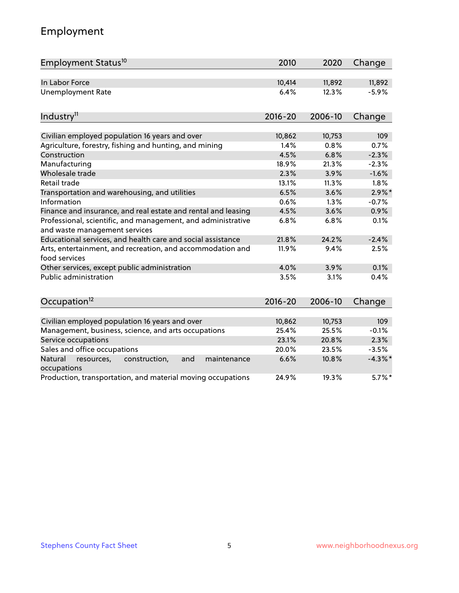# Employment

| Employment Status <sup>10</sup>                                                               | 2010        | 2020    | Change     |
|-----------------------------------------------------------------------------------------------|-------------|---------|------------|
| In Labor Force                                                                                | 10,414      | 11,892  | 11,892     |
| <b>Unemployment Rate</b>                                                                      | 6.4%        | 12.3%   | $-5.9%$    |
| Industry <sup>11</sup>                                                                        | $2016 - 20$ | 2006-10 | Change     |
| Civilian employed population 16 years and over                                                | 10,862      | 10,753  | 109        |
| Agriculture, forestry, fishing and hunting, and mining                                        | 1.4%        | 0.8%    | 0.7%       |
| Construction                                                                                  | 4.5%        | 6.8%    | $-2.3%$    |
| Manufacturing                                                                                 | 18.9%       | 21.3%   | $-2.3%$    |
| Wholesale trade                                                                               | 2.3%        | 3.9%    | $-1.6%$    |
| Retail trade                                                                                  | 13.1%       | 11.3%   | 1.8%       |
| Transportation and warehousing, and utilities                                                 | 6.5%        | 3.6%    | $2.9\%$ *  |
| Information                                                                                   | 0.6%        | 1.3%    | $-0.7%$    |
| Finance and insurance, and real estate and rental and leasing                                 | 4.5%        | 3.6%    | 0.9%       |
| Professional, scientific, and management, and administrative<br>and waste management services | 6.8%        | 6.8%    | 0.1%       |
| Educational services, and health care and social assistance                                   | 21.8%       | 24.2%   | $-2.4%$    |
| Arts, entertainment, and recreation, and accommodation and<br>food services                   | 11.9%       | 9.4%    | 2.5%       |
| Other services, except public administration                                                  | 4.0%        | 3.9%    | 0.1%       |
| Public administration                                                                         | 3.5%        | 3.1%    | 0.4%       |
| Occupation <sup>12</sup>                                                                      | $2016 - 20$ | 2006-10 | Change     |
|                                                                                               |             |         |            |
| Civilian employed population 16 years and over                                                | 10,862      | 10,753  | 109        |
| Management, business, science, and arts occupations                                           | 25.4%       | 25.5%   | $-0.1%$    |
| Service occupations                                                                           | 23.1%       | 20.8%   | 2.3%       |
| Sales and office occupations                                                                  | 20.0%       | 23.5%   | $-3.5%$    |
| Natural<br>construction,<br>resources,<br>and<br>maintenance<br>occupations                   | 6.6%        | 10.8%   | $-4.3\%$ * |
| Production, transportation, and material moving occupations                                   | 24.9%       | 19.3%   | $5.7\%$ *  |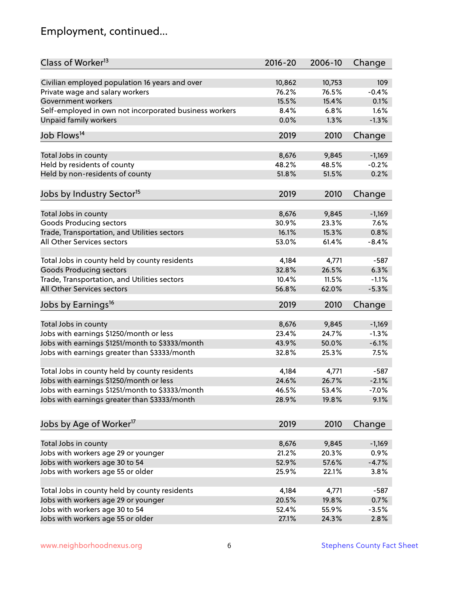# Employment, continued...

| Class of Worker <sup>13</sup>                          | $2016 - 20$ | 2006-10 | Change   |
|--------------------------------------------------------|-------------|---------|----------|
| Civilian employed population 16 years and over         | 10,862      | 10,753  | 109      |
| Private wage and salary workers                        | 76.2%       | 76.5%   | $-0.4%$  |
| Government workers                                     | 15.5%       | 15.4%   | 0.1%     |
| Self-employed in own not incorporated business workers | 8.4%        | 6.8%    | 1.6%     |
| <b>Unpaid family workers</b>                           | 0.0%        | 1.3%    | $-1.3%$  |
|                                                        |             |         |          |
| Job Flows <sup>14</sup>                                | 2019        | 2010    | Change   |
| Total Jobs in county                                   | 8,676       | 9,845   | $-1,169$ |
| Held by residents of county                            | 48.2%       | 48.5%   | $-0.2%$  |
| Held by non-residents of county                        | 51.8%       | 51.5%   | 0.2%     |
|                                                        |             |         |          |
| Jobs by Industry Sector <sup>15</sup>                  | 2019        | 2010    | Change   |
| Total Jobs in county                                   | 8,676       | 9,845   | $-1,169$ |
| Goods Producing sectors                                | 30.9%       | 23.3%   | 7.6%     |
| Trade, Transportation, and Utilities sectors           | 16.1%       | 15.3%   | 0.8%     |
| All Other Services sectors                             | 53.0%       | 61.4%   | $-8.4%$  |
|                                                        |             |         |          |
| Total Jobs in county held by county residents          | 4,184       | 4,771   | $-587$   |
| <b>Goods Producing sectors</b>                         | 32.8%       | 26.5%   | 6.3%     |
| Trade, Transportation, and Utilities sectors           | 10.4%       | 11.5%   | $-1.1%$  |
| All Other Services sectors                             | 56.8%       | 62.0%   | $-5.3%$  |
| Jobs by Earnings <sup>16</sup>                         | 2019        | 2010    | Change   |
|                                                        |             |         |          |
| Total Jobs in county                                   | 8,676       | 9,845   | $-1,169$ |
| Jobs with earnings \$1250/month or less                | 23.4%       | 24.7%   | $-1.3%$  |
| Jobs with earnings \$1251/month to \$3333/month        | 43.9%       | 50.0%   | $-6.1%$  |
| Jobs with earnings greater than \$3333/month           | 32.8%       | 25.3%   | 7.5%     |
|                                                        |             |         |          |
| Total Jobs in county held by county residents          | 4,184       | 4,771   | $-587$   |
| Jobs with earnings \$1250/month or less                | 24.6%       | 26.7%   | $-2.1%$  |
| Jobs with earnings \$1251/month to \$3333/month        | 46.5%       | 53.4%   | -7.0%    |
| Jobs with earnings greater than \$3333/month           | 28.9%       | 19.8%   | 9.1%     |
|                                                        |             |         |          |
| Jobs by Age of Worker <sup>17</sup>                    | 2019        | 2010    | Change   |
| Total Jobs in county                                   | 8,676       | 9,845   | $-1,169$ |
| Jobs with workers age 29 or younger                    | 21.2%       | 20.3%   | 0.9%     |
| Jobs with workers age 30 to 54                         | 52.9%       | 57.6%   | $-4.7%$  |
| Jobs with workers age 55 or older                      | 25.9%       | 22.1%   | 3.8%     |
|                                                        |             |         |          |
| Total Jobs in county held by county residents          | 4,184       | 4,771   | $-587$   |
| Jobs with workers age 29 or younger                    | 20.5%       | 19.8%   | 0.7%     |
| Jobs with workers age 30 to 54                         | 52.4%       | 55.9%   | $-3.5%$  |
| Jobs with workers age 55 or older                      | 27.1%       | 24.3%   | 2.8%     |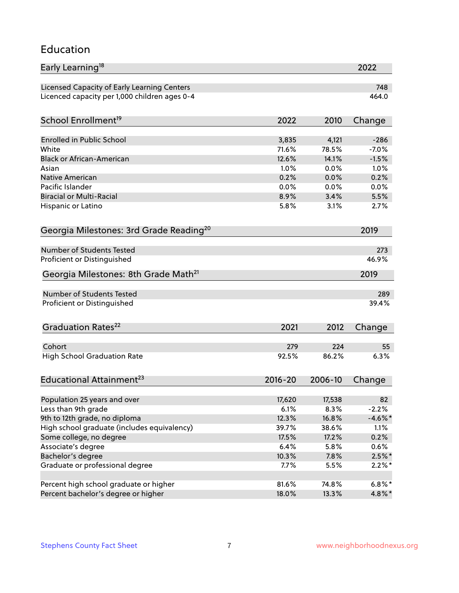#### Education

| Early Learning <sup>18</sup>                        |             |         | 2022       |
|-----------------------------------------------------|-------------|---------|------------|
| Licensed Capacity of Early Learning Centers         |             |         | 748        |
| Licenced capacity per 1,000 children ages 0-4       |             |         | 464.0      |
| School Enrollment <sup>19</sup>                     | 2022        | 2010    | Change     |
|                                                     |             |         |            |
| <b>Enrolled in Public School</b>                    | 3,835       | 4,121   | $-286$     |
| White                                               | 71.6%       | 78.5%   | $-7.0%$    |
| <b>Black or African-American</b>                    | 12.6%       | 14.1%   | $-1.5%$    |
| Asian                                               | 1.0%        | 0.0%    | 1.0%       |
| <b>Native American</b>                              | 0.2%        | 0.0%    | 0.2%       |
| Pacific Islander                                    | 0.0%        | 0.0%    | 0.0%       |
| <b>Biracial or Multi-Racial</b>                     | 8.9%        | 3.4%    | 5.5%       |
| Hispanic or Latino                                  | 5.8%        | 3.1%    | 2.7%       |
| Georgia Milestones: 3rd Grade Reading <sup>20</sup> |             |         | 2019       |
| Number of Students Tested                           |             |         |            |
|                                                     |             |         | 273        |
| Proficient or Distinguished                         |             |         | 46.9%      |
| Georgia Milestones: 8th Grade Math <sup>21</sup>    |             |         | 2019       |
| Number of Students Tested                           |             |         | 289        |
| Proficient or Distinguished                         |             |         | 39.4%      |
| Graduation Rates <sup>22</sup>                      | 2021        | 2012    | Change     |
|                                                     |             |         |            |
| Cohort                                              | 279         | 224     | 55         |
| <b>High School Graduation Rate</b>                  | 92.5%       | 86.2%   | 6.3%       |
| Educational Attainment <sup>23</sup>                | $2016 - 20$ | 2006-10 | Change     |
|                                                     |             |         |            |
| Population 25 years and over                        | 17,620      | 17,538  | 82         |
| Less than 9th grade                                 | 6.1%        | 8.3%    | $-2.2%$    |
| 9th to 12th grade, no diploma                       | 12.3%       | 16.8%   | $-4.6\%$ * |
| High school graduate (includes equivalency)         | 39.7%       | 38.6%   | 1.1%       |
| Some college, no degree                             | 17.5%       | 17.2%   | 0.2%       |
| Associate's degree                                  | 6.4%        | 5.8%    | 0.6%       |
| Bachelor's degree                                   | 10.3%       | 7.8%    | $2.5\%$ *  |
| Graduate or professional degree                     | 7.7%        | 5.5%    | $2.2\%$ *  |
| Percent high school graduate or higher              | 81.6%       | 74.8%   | $6.8\%*$   |
| Percent bachelor's degree or higher                 | 18.0%       | 13.3%   | 4.8%*      |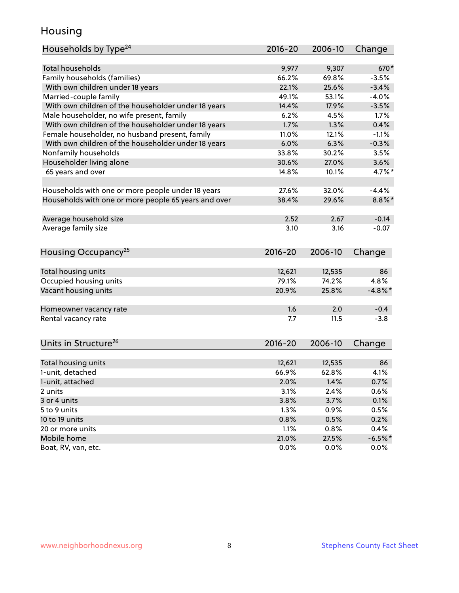### Housing

| Households by Type <sup>24</sup>                     | 2016-20     | 2006-10 | Change     |
|------------------------------------------------------|-------------|---------|------------|
|                                                      |             |         |            |
| <b>Total households</b>                              | 9,977       | 9,307   | 670*       |
| Family households (families)                         | 66.2%       | 69.8%   | $-3.5%$    |
| With own children under 18 years                     | 22.1%       | 25.6%   | $-3.4%$    |
| Married-couple family                                | 49.1%       | 53.1%   | $-4.0%$    |
| With own children of the householder under 18 years  | 14.4%       | 17.9%   | $-3.5%$    |
| Male householder, no wife present, family            | 6.2%        | 4.5%    | 1.7%       |
| With own children of the householder under 18 years  | 1.7%        | 1.3%    | 0.4%       |
| Female householder, no husband present, family       | 11.0%       | 12.1%   | $-1.1%$    |
| With own children of the householder under 18 years  | 6.0%        | 6.3%    | $-0.3%$    |
| Nonfamily households                                 | 33.8%       | 30.2%   | 3.5%       |
| Householder living alone                             | 30.6%       | 27.0%   | 3.6%       |
| 65 years and over                                    | 14.8%       | 10.1%   | $4.7\%$ *  |
|                                                      |             |         |            |
| Households with one or more people under 18 years    | 27.6%       | 32.0%   | $-4.4%$    |
| Households with one or more people 65 years and over | 38.4%       | 29.6%   | $8.8\%$ *  |
|                                                      |             |         |            |
| Average household size                               | 2.52        | 2.67    | $-0.14$    |
| Average family size                                  | 3.10        | 3.16    | $-0.07$    |
|                                                      |             |         |            |
| Housing Occupancy <sup>25</sup>                      | $2016 - 20$ | 2006-10 | Change     |
|                                                      |             |         |            |
| Total housing units                                  | 12,621      | 12,535  | 86         |
| Occupied housing units                               | 79.1%       | 74.2%   | 4.8%       |
| Vacant housing units                                 | 20.9%       | 25.8%   | $-4.8\%$ * |
|                                                      |             |         |            |
| Homeowner vacancy rate                               | 1.6         | 2.0     | $-0.4$     |
| Rental vacancy rate                                  | 7.7         | 11.5    | $-3.8$     |
|                                                      |             |         |            |
|                                                      |             |         |            |
| Units in Structure <sup>26</sup>                     | $2016 - 20$ | 2006-10 | Change     |
|                                                      | 12,621      |         | 86         |
| Total housing units                                  |             | 12,535  |            |
| 1-unit, detached                                     | 66.9%       | 62.8%   | 4.1%       |
| 1-unit, attached                                     | 2.0%        | 1.4%    | 0.7%       |
| 2 units                                              | 3.1%        | 2.4%    | 0.6%       |
| 3 or 4 units                                         | 3.8%        | 3.7%    | 0.1%       |
| 5 to 9 units                                         | 1.3%        | 0.9%    | 0.5%       |
| 10 to 19 units                                       | 0.8%        | 0.5%    | 0.2%       |
| 20 or more units                                     | 1.1%        | 0.8%    | 0.4%       |
| Mobile home                                          | 21.0%       | 27.5%   | $-6.5%$ *  |
| Boat, RV, van, etc.                                  | 0.0%        | $0.0\%$ | $0.0\%$    |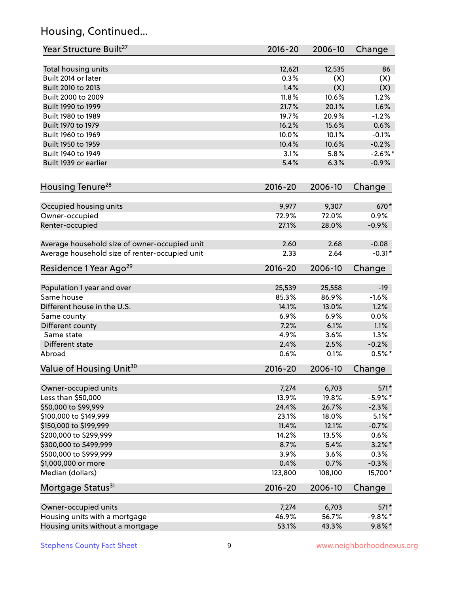# Housing, Continued...

| Year Structure Built <sup>27</sup>             | 2016-20         | 2006-10         | Change       |
|------------------------------------------------|-----------------|-----------------|--------------|
| Total housing units                            | 12,621          | 12,535          | 86           |
| Built 2014 or later                            | 0.3%            | (X)             | (X)          |
| Built 2010 to 2013                             | 1.4%            | (X)             | (X)          |
| Built 2000 to 2009                             | 11.8%           | 10.6%           | 1.2%         |
| Built 1990 to 1999                             | 21.7%           | 20.1%           | 1.6%         |
| Built 1980 to 1989                             | 19.7%           | 20.9%           | $-1.2%$      |
| Built 1970 to 1979                             | 16.2%           | 15.6%           | 0.6%         |
| Built 1960 to 1969                             | 10.0%           | 10.1%           | $-0.1%$      |
| Built 1950 to 1959                             | 10.4%           | 10.6%           | $-0.2%$      |
| Built 1940 to 1949                             | 3.1%            | 5.8%            | $-2.6\%$ *   |
| Built 1939 or earlier                          | 5.4%            | 6.3%            | $-0.9%$      |
| Housing Tenure <sup>28</sup>                   | 2016-20         | 2006-10         | Change       |
|                                                |                 |                 |              |
| Occupied housing units                         | 9,977           | 9,307           | 670*         |
| Owner-occupied                                 | 72.9%           | 72.0%           | 0.9%         |
| Renter-occupied                                | 27.1%           | 28.0%           | $-0.9%$      |
| Average household size of owner-occupied unit  | 2.60            | 2.68            | $-0.08$      |
| Average household size of renter-occupied unit | 2.33            | 2.64            | $-0.31*$     |
| Residence 1 Year Ago <sup>29</sup>             | 2016-20         | 2006-10         | Change       |
|                                                |                 |                 | $-19$        |
| Population 1 year and over<br>Same house       | 25,539<br>85.3% | 25,558<br>86.9% | $-1.6%$      |
|                                                |                 |                 |              |
| Different house in the U.S.                    | 14.1%<br>6.9%   | 13.0%<br>6.9%   | 1.2%<br>0.0% |
| Same county<br>Different county                | 7.2%            | 6.1%            | 1.1%         |
| Same state                                     | 4.9%            | 3.6%            | 1.3%         |
| Different state                                | 2.4%            |                 |              |
|                                                |                 | 2.5%            | $-0.2%$      |
| Abroad                                         | 0.6%            | 0.1%            | $0.5%$ *     |
| Value of Housing Unit <sup>30</sup>            | 2016-20         | 2006-10         | Change       |
| Owner-occupied units                           | 7,274           | 6,703           | 571*         |
| Less than \$50,000                             | 13.9%           | 19.8%           | $-5.9\%$ *   |
| \$50,000 to \$99,999                           | 24.4%           | 26.7%           | $-2.3%$      |
| \$100,000 to \$149,999                         | 23.1%           | 18.0%           | $5.1\%$ *    |
| \$150,000 to \$199,999                         | 11.4%           | 12.1%           | $-0.7%$      |
| \$200,000 to \$299,999                         | 14.2%           | 13.5%           | 0.6%         |
| \$300,000 to \$499,999                         | 8.7%            | 5.4%            | $3.2\%$ *    |
| \$500,000 to \$999,999                         | 3.9%            | 3.6%            | 0.3%         |
| \$1,000,000 or more                            | 0.4%            | 0.7%            | $-0.3%$      |
| Median (dollars)                               | 123,800         | 108,100         | 15,700*      |
| Mortgage Status <sup>31</sup>                  | 2016-20         | 2006-10         | Change       |
|                                                |                 | 6,703           | 571*         |
| Owner-occupied units                           | 7,274<br>46.9%  | 56.7%           | $-9.8%$ *    |
| Housing units with a mortgage                  |                 |                 |              |
| Housing units without a mortgage               | 53.1%           | 43.3%           | $9.8\%$ *    |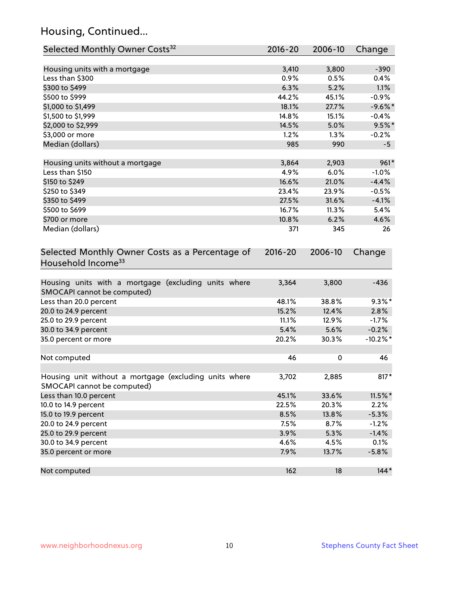# Housing, Continued...

| Selected Monthly Owner Costs <sup>32</sup>                                            | 2016-20       | 2006-10       | Change      |
|---------------------------------------------------------------------------------------|---------------|---------------|-------------|
|                                                                                       |               |               | $-390$      |
| Housing units with a mortgage<br>Less than \$300                                      | 3,410<br>0.9% | 3,800<br>0.5% | 0.4%        |
| \$300 to \$499                                                                        | 6.3%          | 5.2%          | 1.1%        |
| \$500 to \$999                                                                        | 44.2%         | 45.1%         | $-0.9%$     |
| \$1,000 to \$1,499                                                                    | 18.1%         | 27.7%         | $-9.6%$ *   |
| \$1,500 to \$1,999                                                                    | 14.8%         | 15.1%         | $-0.4%$     |
| \$2,000 to \$2,999                                                                    | 14.5%         | 5.0%          | $9.5%$ *    |
| \$3,000 or more                                                                       | 1.2%          | 1.3%          | $-0.2%$     |
| Median (dollars)                                                                      | 985           | 990           | $-5$        |
|                                                                                       |               |               |             |
| Housing units without a mortgage                                                      | 3,864         | 2,903         | 961*        |
| Less than \$150                                                                       | 4.9%          | 6.0%          | $-1.0%$     |
| \$150 to \$249                                                                        | 16.6%         | 21.0%         | $-4.4%$     |
| \$250 to \$349                                                                        | 23.4%         | 23.9%         | $-0.5%$     |
| \$350 to \$499                                                                        | 27.5%         | 31.6%         | $-4.1%$     |
| \$500 to \$699                                                                        | 16.7%         | 11.3%         | 5.4%        |
| \$700 or more                                                                         | 10.8%         | 6.2%          | 4.6%        |
| Median (dollars)                                                                      | 371           | 345           | 26          |
| Selected Monthly Owner Costs as a Percentage of<br>Household Income <sup>33</sup>     | $2016 - 20$   | 2006-10       | Change      |
| Housing units with a mortgage (excluding units where<br>SMOCAPI cannot be computed)   | 3,364         | 3,800         | $-436$      |
| Less than 20.0 percent                                                                | 48.1%         | 38.8%         | $9.3\%$ *   |
| 20.0 to 24.9 percent                                                                  | 15.2%         | 12.4%         | 2.8%        |
| 25.0 to 29.9 percent                                                                  | 11.1%         | 12.9%         | $-1.7%$     |
| 30.0 to 34.9 percent                                                                  | 5.4%          | 5.6%          | $-0.2%$     |
| 35.0 percent or more                                                                  | 20.2%         | 30.3%         | $-10.2\%$ * |
| Not computed                                                                          | 46            | 0             | 46          |
| Housing unit without a mortgage (excluding units where<br>SMOCAPI cannot be computed) | 3,702         | 2,885         | $817*$      |
| Less than 10.0 percent                                                                | 45.1%         | 33.6%         | $11.5\%$ *  |
| 10.0 to 14.9 percent                                                                  | 22.5%         | 20.3%         | 2.2%        |
| 15.0 to 19.9 percent                                                                  | 8.5%          | 13.8%         | $-5.3%$     |
| 20.0 to 24.9 percent                                                                  | 7.5%          | 8.7%          | $-1.2%$     |
| 25.0 to 29.9 percent                                                                  | 3.9%          | 5.3%          | $-1.4%$     |
| 30.0 to 34.9 percent                                                                  | 4.6%          | 4.5%          | 0.1%        |
| 35.0 percent or more                                                                  | 7.9%          | 13.7%         | $-5.8%$     |
| Not computed                                                                          | 162           | 18            | $144*$      |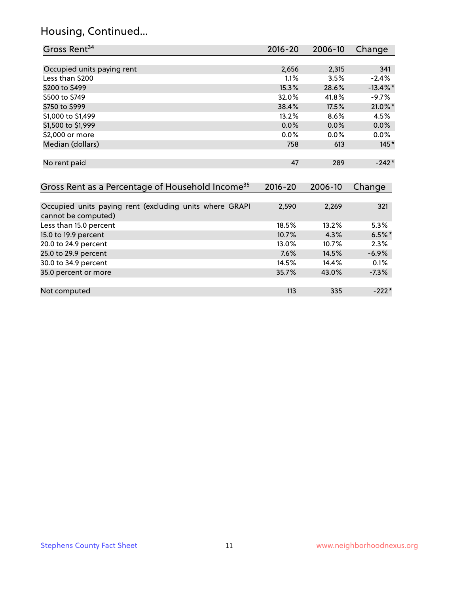# Housing, Continued...

| Gross Rent <sup>34</sup>                                                       | $2016 - 20$ | 2006-10 | Change      |
|--------------------------------------------------------------------------------|-------------|---------|-------------|
|                                                                                |             |         |             |
| Occupied units paying rent                                                     | 2,656       | 2,315   | 341         |
| Less than \$200                                                                | 1.1%        | 3.5%    | $-2.4%$     |
| \$200 to \$499                                                                 | 15.3%       | 28.6%   | $-13.4\%$ * |
| \$500 to \$749                                                                 | 32.0%       | 41.8%   | $-9.7%$     |
| \$750 to \$999                                                                 | 38.4%       | 17.5%   | 21.0%*      |
| \$1,000 to \$1,499                                                             | 13.2%       | 8.6%    | 4.5%        |
| \$1,500 to \$1,999                                                             | $0.0\%$     | 0.0%    | 0.0%        |
| \$2,000 or more                                                                | 0.0%        | 0.0%    | $0.0\%$     |
| Median (dollars)                                                               | 758         | 613     | $145*$      |
| No rent paid                                                                   | 47          | 289     | $-242*$     |
| Gross Rent as a Percentage of Household Income <sup>35</sup>                   | $2016 - 20$ | 2006-10 | Change      |
| Occupied units paying rent (excluding units where GRAPI<br>cannot be computed) | 2,590       | 2,269   | 321         |
| Less than 15.0 percent                                                         | 18.5%       | 13.2%   | 5.3%        |
| 15.0 to 19.9 percent                                                           | 10.7%       | 4.3%    | $6.5%$ *    |
| 20.0 to 24.9 percent                                                           | 13.0%       | 10.7%   | 2.3%        |
| 25.0 to 29.9 percent                                                           | 7.6%        | 14.5%   | $-6.9\%$    |
| 30.0 to 34.9 percent                                                           | 14.5%       | 14.4%   | 0.1%        |
| 35.0 percent or more                                                           | 35.7%       | 43.0%   | $-7.3%$     |
| Not computed                                                                   | 113         | 335     | $-222*$     |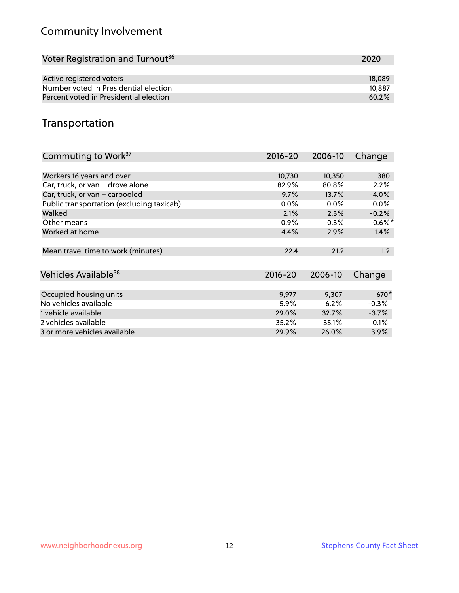# Community Involvement

| Voter Registration and Turnout <sup>36</sup> | 2020   |
|----------------------------------------------|--------|
|                                              |        |
| Active registered voters                     | 18,089 |
| Number voted in Presidential election        | 10,887 |
| Percent voted in Presidential election       | 60.2%  |

## Transportation

| Commuting to Work <sup>37</sup>           | $2016 - 20$ | 2006-10 | Change    |
|-------------------------------------------|-------------|---------|-----------|
|                                           |             |         |           |
| Workers 16 years and over                 | 10,730      | 10,350  | 380       |
| Car, truck, or van - drove alone          | 82.9%       | 80.8%   | 2.2%      |
| Car, truck, or van - carpooled            | 9.7%        | 13.7%   | $-4.0%$   |
| Public transportation (excluding taxicab) | $0.0\%$     | $0.0\%$ | $0.0\%$   |
| Walked                                    | 2.1%        | 2.3%    | $-0.2%$   |
| Other means                               | $0.9\%$     | $0.3\%$ | $0.6\%$ * |
| Worked at home                            | 4.4%        | 2.9%    | 1.4%      |
|                                           |             |         |           |
| Mean travel time to work (minutes)        | 22.4        | 21.2    | 1.2       |
|                                           |             |         |           |
| Vehicles Available <sup>38</sup>          | $2016 - 20$ | 2006-10 | Change    |
|                                           |             |         |           |
| Occupied housing units                    | 9,977       | 9,307   | 670*      |
| No vehicles available                     | 5.9%        | 6.2%    | $-0.3%$   |
| 1 vehicle available                       | 29.0%       | 32.7%   | $-3.7%$   |
| 2 vehicles available                      | 35.2%       | 35.1%   | 0.1%      |
| 3 or more vehicles available              | 29.9%       | 26.0%   | $3.9\%$   |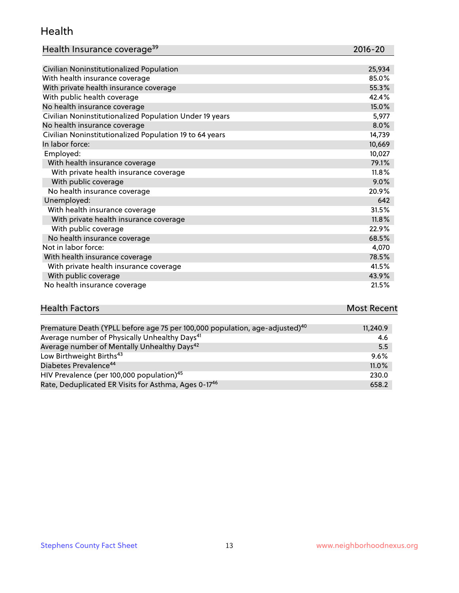#### Health

| Health Insurance coverage <sup>39</sup> | 2016-20 |
|-----------------------------------------|---------|
|-----------------------------------------|---------|

| Civilian Noninstitutionalized Population                | 25,934 |
|---------------------------------------------------------|--------|
| With health insurance coverage                          | 85.0%  |
| With private health insurance coverage                  | 55.3%  |
| With public health coverage                             | 42.4%  |
| No health insurance coverage                            | 15.0%  |
| Civilian Noninstitutionalized Population Under 19 years | 5,977  |
| No health insurance coverage                            | 8.0%   |
| Civilian Noninstitutionalized Population 19 to 64 years | 14,739 |
| In labor force:                                         | 10,669 |
| Employed:                                               | 10,027 |
| With health insurance coverage                          | 79.1%  |
| With private health insurance coverage                  | 11.8%  |
| With public coverage                                    | 9.0%   |
| No health insurance coverage                            | 20.9%  |
| Unemployed:                                             | 642    |
| With health insurance coverage                          | 31.5%  |
| With private health insurance coverage                  | 11.8%  |
| With public coverage                                    | 22.9%  |
| No health insurance coverage                            | 68.5%  |
| Not in labor force:                                     | 4,070  |
| With health insurance coverage                          | 78.5%  |
| With private health insurance coverage                  | 41.5%  |
| With public coverage                                    | 43.9%  |
| No health insurance coverage                            | 21.5%  |

| <b>Health Factors</b> | <b>Most Recent</b> |
|-----------------------|--------------------|
|                       |                    |

| Premature Death (YPLL before age 75 per 100,000 population, age-adjusted) <sup>40</sup> | 11,240.9 |
|-----------------------------------------------------------------------------------------|----------|
| Average number of Physically Unhealthy Days <sup>41</sup>                               | 4.6      |
| Average number of Mentally Unhealthy Days <sup>42</sup>                                 | 5.5      |
| Low Birthweight Births <sup>43</sup>                                                    | $9.6\%$  |
| Diabetes Prevalence <sup>44</sup>                                                       | 11.0%    |
| HIV Prevalence (per 100,000 population) <sup>45</sup>                                   | 230.0    |
| Rate, Deduplicated ER Visits for Asthma, Ages 0-17 <sup>46</sup>                        | 658.2    |